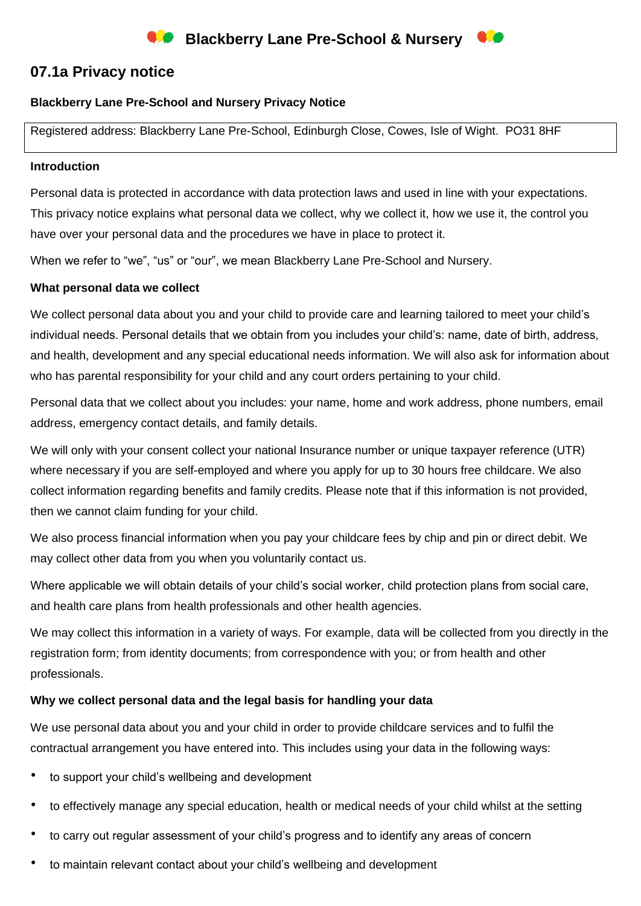

# **07.1a Privacy notice**

### **Blackberry Lane Pre-School and Nursery Privacy Notice**

Registered address: Blackberry Lane Pre-School, Edinburgh Close, Cowes, Isle of Wight. PO31 8HF

#### **Introduction**

Personal data is protected in accordance with data protection laws and used in line with your expectations. This privacy notice explains what personal data we collect, why we collect it, how we use it, the control you have over your personal data and the procedures we have in place to protect it.

When we refer to "we", "us" or "our", we mean Blackberry Lane Pre-School and Nursery.

#### **What personal data we collect**

We collect personal data about you and your child to provide care and learning tailored to meet your child's individual needs. Personal details that we obtain from you includes your child's: name, date of birth, address, and health, development and any special educational needs information. We will also ask for information about who has parental responsibility for your child and any court orders pertaining to your child.

Personal data that we collect about you includes: your name, home and work address, phone numbers, email address, emergency contact details, and family details.

We will only with your consent collect your national Insurance number or unique taxpayer reference (UTR) where necessary if you are self-employed and where you apply for up to 30 hours free childcare. We also collect information regarding benefits and family credits. Please note that if this information is not provided, then we cannot claim funding for your child.

We also process financial information when you pay your childcare fees by chip and pin or direct debit. We may collect other data from you when you voluntarily contact us.

Where applicable we will obtain details of your child's social worker, child protection plans from social care, and health care plans from health professionals and other health agencies.

We may collect this information in a variety of ways. For example, data will be collected from you directly in the registration form; from identity documents; from correspondence with you; or from health and other professionals.

#### **Why we collect personal data and the legal basis for handling your data**

We use personal data about you and your child in order to provide childcare services and to fulfil the contractual arrangement you have entered into. This includes using your data in the following ways:

- to support your child's wellbeing and development
- to effectively manage any special education, health or medical needs of your child whilst at the setting
- to carry out regular assessment of your child's progress and to identify any areas of concern
- to maintain relevant contact about your child's wellbeing and development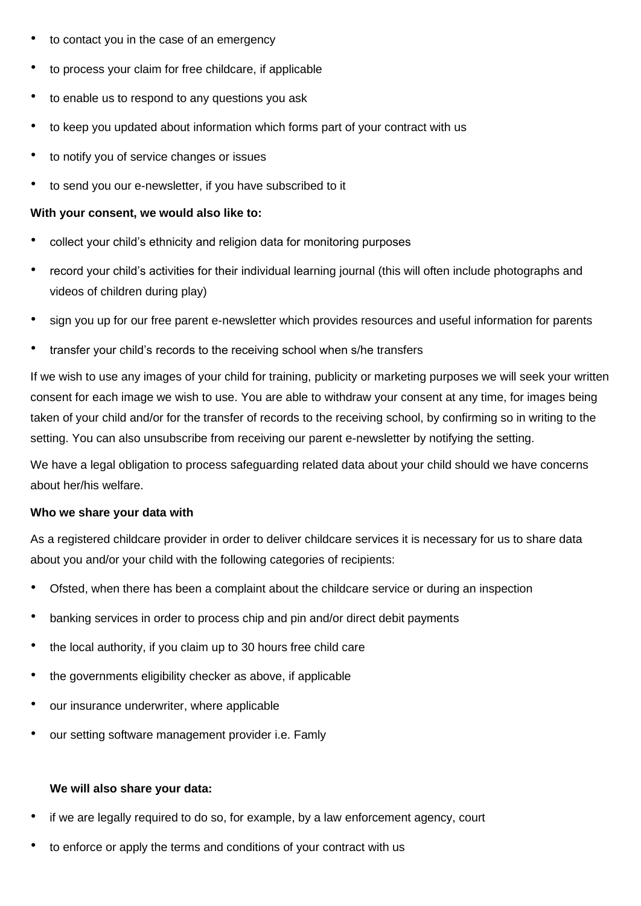- to contact you in the case of an emergency
- to process your claim for free childcare, if applicable
- to enable us to respond to any questions you ask
- to keep you updated about information which forms part of your contract with us
- to notify you of service changes or issues
- to send you our e-newsletter, if you have subscribed to it

#### **With your consent, we would also like to:**

- collect your child's ethnicity and religion data for monitoring purposes
- record your child's activities for their individual learning journal (this will often include photographs and videos of children during play)
- sign you up for our free parent e-newsletter which provides resources and useful information for parents
- transfer your child's records to the receiving school when s/he transfers

If we wish to use any images of your child for training, publicity or marketing purposes we will seek your written consent for each image we wish to use. You are able to withdraw your consent at any time, for images being taken of your child and/or for the transfer of records to the receiving school, by confirming so in writing to the setting. You can also unsubscribe from receiving our parent e-newsletter by notifying the setting.

We have a legal obligation to process safeguarding related data about your child should we have concerns about her/his welfare.

#### **Who we share your data with**

As a registered childcare provider in order to deliver childcare services it is necessary for us to share data about you and/or your child with the following categories of recipients:

- Ofsted, when there has been a complaint about the childcare service or during an inspection
- banking services in order to process chip and pin and/or direct debit payments
- the local authority, if you claim up to 30 hours free child care
- the governments eligibility checker as above, if applicable
- our insurance underwriter, where applicable
- our setting software management provider i.e. Famly

#### **We will also share your data:**

- if we are legally required to do so, for example, by a law enforcement agency, court
- to enforce or apply the terms and conditions of your contract with us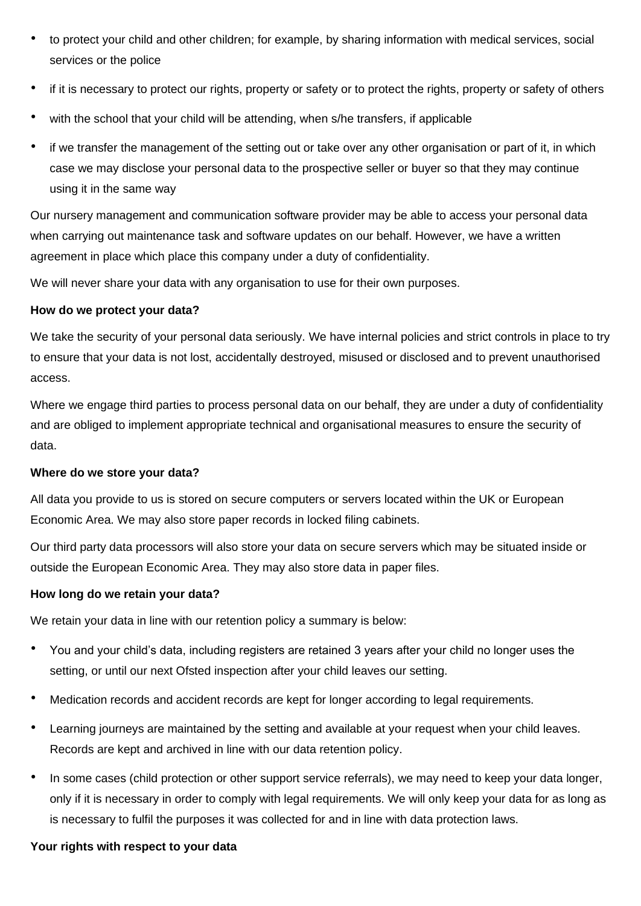- to protect your child and other children; for example, by sharing information with medical services, social services or the police
- if it is necessary to protect our rights, property or safety or to protect the rights, property or safety of others
- with the school that your child will be attending, when s/he transfers, if applicable
- if we transfer the management of the setting out or take over any other organisation or part of it, in which case we may disclose your personal data to the prospective seller or buyer so that they may continue using it in the same way

Our nursery management and communication software provider may be able to access your personal data when carrying out maintenance task and software updates on our behalf. However, we have a written agreement in place which place this company under a duty of confidentiality.

We will never share your data with any organisation to use for their own purposes.

#### **How do we protect your data?**

We take the security of your personal data seriously. We have internal policies and strict controls in place to try to ensure that your data is not lost, accidentally destroyed, misused or disclosed and to prevent unauthorised access.

Where we engage third parties to process personal data on our behalf, they are under a duty of confidentiality and are obliged to implement appropriate technical and organisational measures to ensure the security of data.

#### **Where do we store your data?**

All data you provide to us is stored on secure computers or servers located within the UK or European Economic Area. We may also store paper records in locked filing cabinets.

Our third party data processors will also store your data on secure servers which may be situated inside or outside the European Economic Area. They may also store data in paper files.

#### **How long do we retain your data?**

We retain your data in line with our retention policy a summary is below:

- You and your child's data, including registers are retained 3 years after your child no longer uses the setting, or until our next Ofsted inspection after your child leaves our setting.
- Medication records and accident records are kept for longer according to legal requirements.
- Learning journeys are maintained by the setting and available at your request when your child leaves. Records are kept and archived in line with our data retention policy.
- In some cases (child protection or other support service referrals), we may need to keep your data longer, only if it is necessary in order to comply with legal requirements. We will only keep your data for as long as is necessary to fulfil the purposes it was collected for and in line with data protection laws.

## **Your rights with respect to your data**